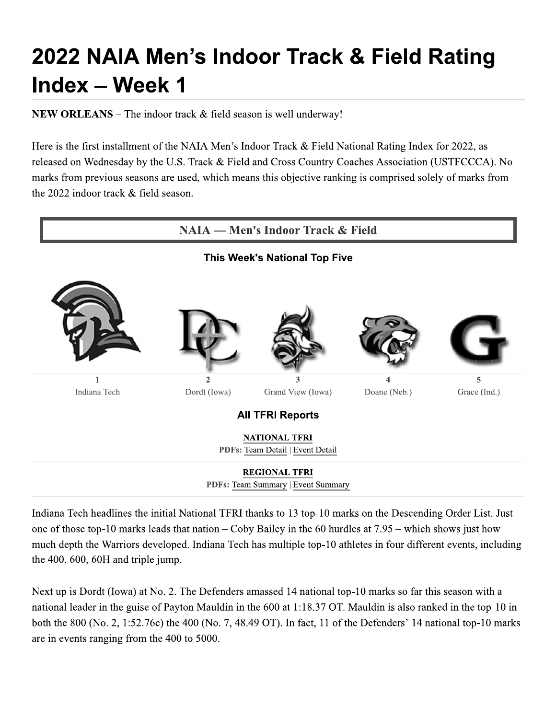## 2022 NAIA Men's Indoor Track & Field Rating Index - Week 1

**NEW ORLEANS** – The indoor track  $\&$  field season is well underway!

Here is the first installment of the NAIA Men's Indoor Track & Field National Rating Index for 2022, as released on Wednesday by the U.S. Track & Field and Cross Country Coaches Association (USTFCCCA). No marks from previous seasons are used, which means this objective ranking is comprised solely of marks from the 2022 indoor track & field season.



Indiana Tech headlines the initial National TFRI thanks to 13 top-10 marks on the Descending Order List. Just one of those top-10 marks leads that nation – Coby Bailey in the 60 hurdles at  $7.95$  – which shows just how much depth the Warriors developed. Indiana Tech has multiple top-10 athletes in four different events, including the 400, 600, 60H and triple jump.

Next up is Dordt (Iowa) at No. 2. The Defenders amassed 14 national top-10 marks so far this season with a national leader in the guise of Payton Mauldin in the 600 at 1:18.37 OT. Mauldin is also ranked in the top-10 in both the 800 (No. 2, 1:52.76c) the 400 (No. 7, 48.49 OT). In fact, 11 of the Defenders' 14 national top-10 marks are in events ranging from the 400 to 5000.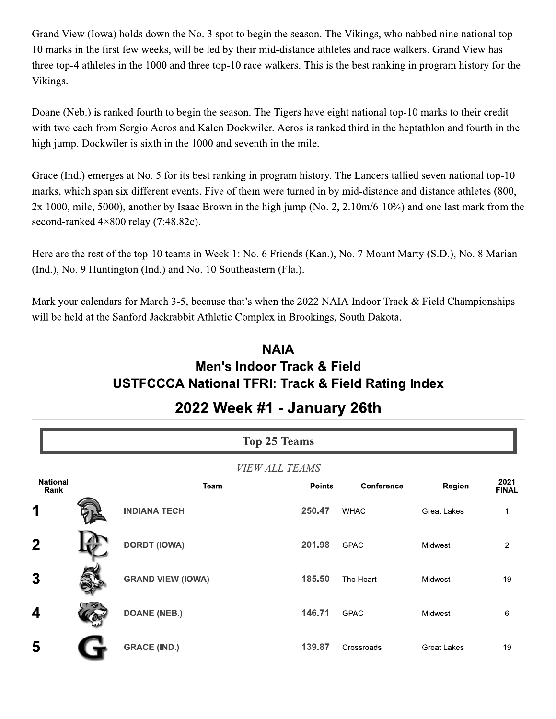Grand View (Iowa) holds down the No. 3 spot to begin the season. The Vikings, who nabbed nine national top-10 marks in the first few weeks, will be led by their mid-distance athletes and race walkers. Grand View has three top-4 athletes in the 1000 and three top-10 race walkers. This is the best ranking in program history for the Vikings.

Doane (Neb.) is ranked fourth to begin the season. The Tigers have eight national top-10 marks to their credit with two each from Sergio Acros and Kalen Dockwiler. Acros is ranked third in the heptathlon and fourth in the high jump. Dockwiler is sixth in the 1000 and seventh in the mile.

Grace (Ind.) emerges at No. 5 for its best ranking in program history. The Lancers tallied seven national top-10 marks, which span six different events. Five of them were turned in by mid-distance and distance athletes (800,  $2x$  1000, mile, 5000), another by Isaac Brown in the high jump (No. 2, 2.10m/6-10 $\frac{3}{4}$ ) and one last mark from the second-ranked  $4 \times 800$  relay (7:48.82c).

Here are the rest of the top-10 teams in Week 1: No. 6 Friends (Kan.), No. 7 Mount Marty (S.D.), No. 8 Marian (Ind.), No. 9 Huntington (Ind.) and No. 10 Southeastern (Fla.).

Mark your calendars for March 3-5, because that's when the 2022 NAIA Indoor Track & Field Championships will be held at the Sanford Jackrabbit Athletic Complex in Brookings, South Dakota.

## **NAIA** Men's Indoor Track & Field **USTFCCCA National TFRI: Track & Field Rating Index**

|                         | <b>Top 25 Teams</b> |                          |                       |                   |                    |                      |
|-------------------------|---------------------|--------------------------|-----------------------|-------------------|--------------------|----------------------|
|                         |                     |                          | <b>VIEW ALL TEAMS</b> |                   |                    |                      |
| <b>National</b><br>Rank |                     | <b>Team</b>              | <b>Points</b>         | <b>Conference</b> | Region             | 2021<br><b>FINAL</b> |
| 1                       |                     | <b>INDIANA TECH</b>      | 250.47                | <b>WHAC</b>       | <b>Great Lakes</b> | 1                    |
| $\mathbf 2$             |                     | <b>DORDT (IOWA)</b>      | 201.98                | <b>GPAC</b>       | Midwest            | $\overline{2}$       |
| 3                       |                     | <b>GRAND VIEW (IOWA)</b> | 185.50                | The Heart         | Midwest            | 19                   |
| 4                       |                     | <b>DOANE (NEB.)</b>      | 146.71                | <b>GPAC</b>       | Midwest            | 6                    |
| 5                       |                     | <b>GRACE (IND.)</b>      | 139.87                | Crossroads        | <b>Great Lakes</b> | 19                   |

## 2022 Week #1 - January 26th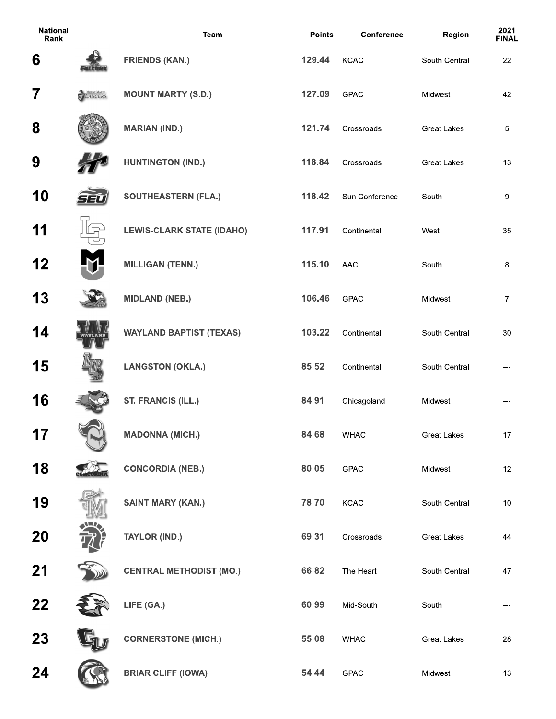| <b>National</b><br>Rank |                        | <b>Team</b>                      | <b>Points</b> | Conference     | Region             | 2021<br><b>FINA</b> |
|-------------------------|------------------------|----------------------------------|---------------|----------------|--------------------|---------------------|
| 6                       |                        | <b>FRIENDS (KAN.)</b>            | 129.44        | <b>KCAC</b>    | South Central      | 22                  |
| $\overline{7}$          | MOUNT MARTY<br>LANCERS | <b>MOUNT MARTY (S.D.)</b>        | 127.09        | <b>GPAC</b>    | Midwest            | 42                  |
| 8                       |                        | <b>MARIAN (IND.)</b>             | 121.74        | Crossroads     | <b>Great Lakes</b> | $\overline{5}$      |
| 9                       |                        | <b>HUNTINGTON (IND.)</b>         | 118.84        | Crossroads     | <b>Great Lakes</b> | 13                  |
| 10                      |                        | <b>SOUTHEASTERN (FLA.)</b>       | 118.42        | Sun Conference | South              | 9                   |
| 11                      |                        | <b>LEWIS-CLARK STATE (IDAHO)</b> | 117.91        | Continental    | West               | 35                  |
| 12                      |                        | <b>MILLIGAN (TENN.)</b>          | 115.10        | AAC            | South              | 8                   |
| 13                      |                        | <b>MIDLAND (NEB.)</b>            | 106.46        | <b>GPAC</b>    | Midwest            | $\overline{7}$      |
| 14                      |                        | <b>WAYLAND BAPTIST (TEXAS)</b>   | 103.22        | Continental    | South Central      | 30                  |
| 15                      |                        | <b>LANGSTON (OKLA.)</b>          | 85.52         | Continental    | South Central      |                     |
| 16                      |                        | <b>ST. FRANCIS (ILL.)</b>        | 84.91         | Chicagoland    | Midwest            |                     |
| 17                      |                        | <b>MADONNA (MICH.)</b>           | 84.68         | <b>WHAC</b>    | <b>Great Lakes</b> | 17                  |
| 18                      |                        | <b>CONCORDIA (NEB.)</b>          | 80.05         | <b>GPAC</b>    | Midwest            | 12                  |
| 19                      |                        | <b>SAINT MARY (KAN.)</b>         | 78.70         | <b>KCAC</b>    | South Central      | $10$                |
| 20                      |                        | <b>TAYLOR (IND.)</b>             | 69.31         | Crossroads     | <b>Great Lakes</b> | 44                  |
| 21                      |                        | <b>CENTRAL METHODIST (MO.)</b>   | 66.82         | The Heart      | South Central      | 47                  |
| 22                      |                        | LIFE (GA.)                       | 60.99         | Mid-South      | South              | ---                 |
| 23                      |                        | <b>CORNERSTONE (MICH.)</b>       | 55.08         | <b>WHAC</b>    | <b>Great Lakes</b> | 28                  |
| 24                      |                        | <b>BRIAR CLIFF (IOWA)</b>        | 54.44         | GPAC           | Midwest            | 13                  |